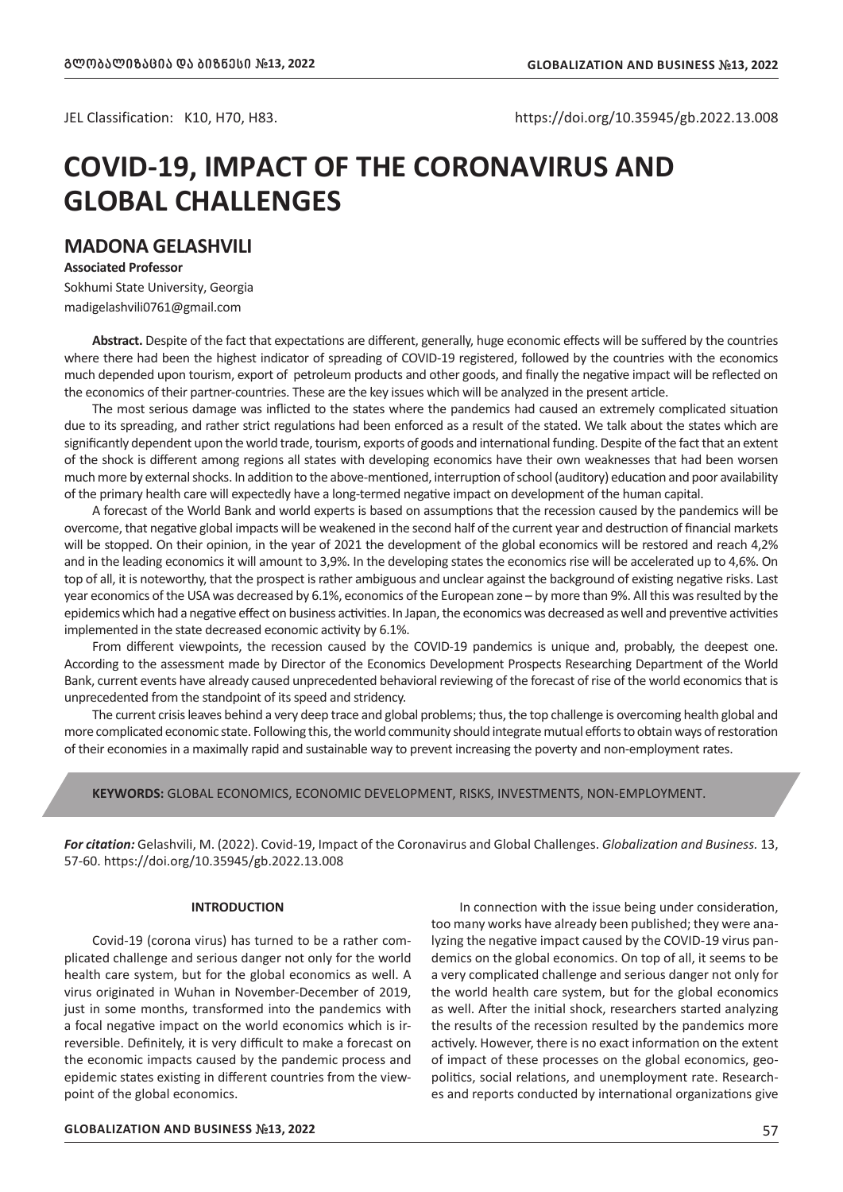JEL Classification: K10, H70, H83. https://doi.org/10.35945/gb.2022.13.008

# **COVID-19, IMPACT OF THE CORONAVIRUS AND GLOBAL CHALLENGES**

# **MADONA GELASHVILI**

**Associated Professor** Sokhumi State University, Georgia madigelashvili0761@gmail.com

**Abstract.** Despite of the fact that expectations are different, generally, huge economic effects will be suffered by the countries where there had been the highest indicator of spreading of COVID-19 registered, followed by the countries with the economics much depended upon tourism, export of petroleum products and other goods, and finally the negative impact will be reflected on the economics of their partner-countries. These are the key issues which will be analyzed in the present article.

The most serious damage was inflicted to the states where the pandemics had caused an extremely complicated situation due to its spreading, and rather strict regulations had been enforced as a result of the stated. We talk about the states which are significantly dependent upon the world trade, tourism, exports of goods and international funding. Despite of the fact that an extent of the shock is different among regions all states with developing economics have their own weaknesses that had been worsen much more by external shocks. In addition to the above-mentioned, interruption of school (auditory) education and poor availability of the primary health care will expectedly have a long-termed negative impact on development of the human capital.

A forecast of the World Bank and world experts is based on assumptions that the recession caused by the pandemics will be overcome, that negative global impacts will be weakened in the second half of the current year and destruction of financial markets will be stopped. On their opinion, in the year of 2021 the development of the global economics will be restored and reach 4,2% and in the leading economics it will amount to 3,9%. In the developing states the economics rise will be accelerated up to 4,6%. On top of all, it is noteworthy, that the prospect is rather ambiguous and unclear against the background of existing negative risks. Last year economics of the USA was decreased by 6.1%, economics of the European zone – by more than 9%. All this was resulted by the epidemics which had a negative effect on business activities. In Japan, the economics was decreased as well and preventive activities implemented in the state decreased economic activity by 6.1%.

From different viewpoints, the recession caused by the COVID-19 pandemics is unique and, probably, the deepest one. According to the assessment made by Director of the Economics Development Prospects Researching Department of the World Bank, current events have already caused unprecedented behavioral reviewing of the forecast of rise of the world economics that is unprecedented from the standpoint of its speed and stridency.

The current crisis leaves behind a very deep trace and global problems; thus, the top challenge is overcoming health global and more complicated economic state. Following this, the world community should integrate mutual efforts to obtain ways of restoration of their economies in a maximally rapid and sustainable way to prevent increasing the poverty and non-employment rates.

#### **KEYWORDS:** GLOBAL ECONOMICS, ECONOMIC DEVELOPMENT, RISKS, INVESTMENTS, NON-EMPLOYMENT.

*For citation:* Gelashvili, M. (2022). Covid-19, Impact of the Coronavirus and Global Challenges. *Globalization and Business.* 13, 57-60. https://doi.org/10.35945/gb.2022.13.008

## **INTRODUCTION**

Covid-19 (corona virus) has turned to be a rather complicated challenge and serious danger not only for the world health care system, but for the global economics as well. A virus originated in Wuhan in November-December of 2019, just in some months, transformed into the pandemics with a focal negative impact on the world economics which is irreversible. Definitely, it is very difficult to make a forecast on the economic impacts caused by the pandemic process and epidemic states existing in different countries from the viewpoint of the global economics.

In connection with the issue being under consideration, too many works have already been published; they were analyzing the negative impact caused by the COVID-19 virus pandemics on the global economics. On top of all, it seems to be a very complicated challenge and serious danger not only for the world health care system, but for the global economics as well. After the initial shock, researchers started analyzing the results of the recession resulted by the pandemics more actively. However, there is no exact information on the extent of impact of these processes on the global economics, geopolitics, social relations, and unemployment rate. Researches and reports conducted by international organizations give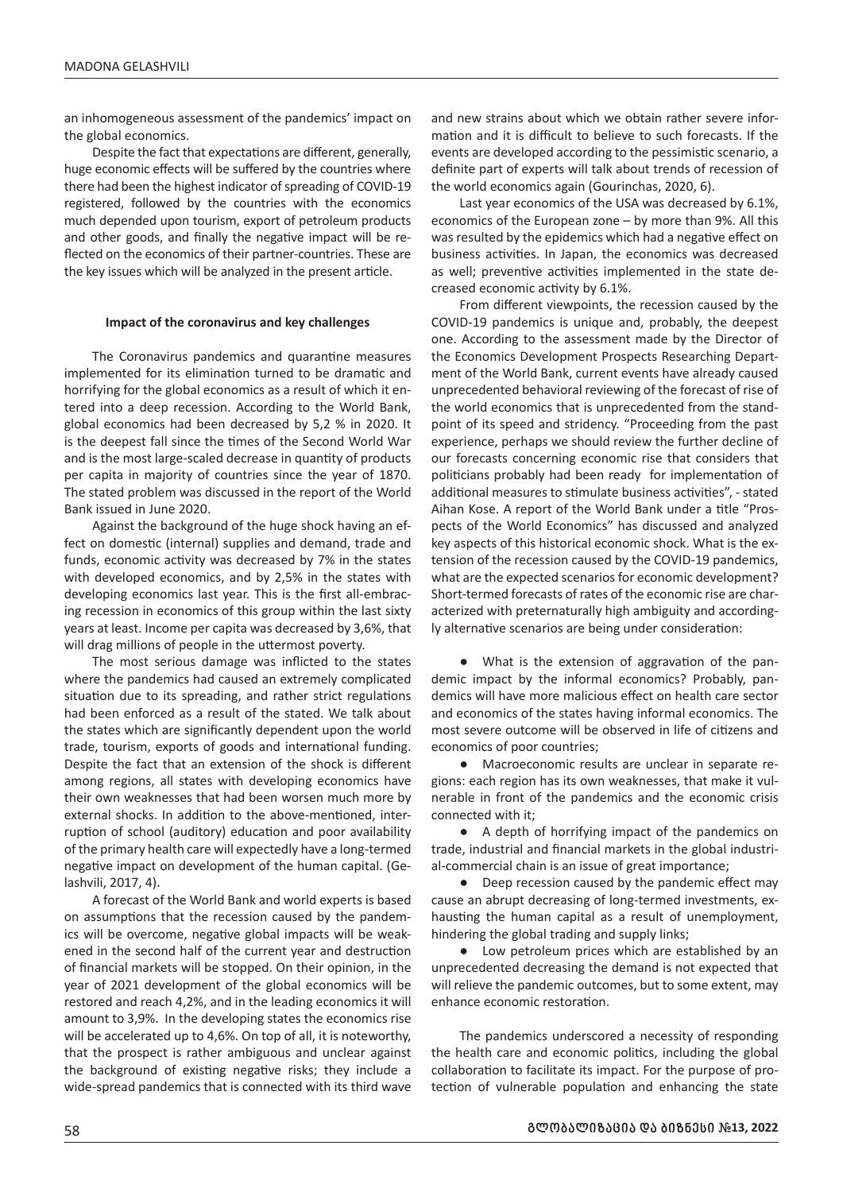an inhomogeneous assessment of the pandemics' impact on the global economics.

Despite the fact that expectations are different, generally, huge economic effects will be suffered by the countries where there had been the highest indicator of spreading of COVID-19 registered, followed by the countries with the economics much depended upon tourism, export of petroleum products and other goods, and finally the negative impact will be reflected on the economics of their partner-countries. These are the key issues which will be analyzed in the present article.

#### **Impact of the coronavirus and key challenges**

The Coronavirus pandemics and quarantine measures implemented for its elimination turned to be dramatic and horrifying for the global economics as a result of which it entered into a deep recession. According to the World Bank, global economics had been decreased by 5,2 % in 2020. It is the deepest fall since the times of the Second World War and is the most large-scaled decrease in quantity of products per capita in majority of countries since the year of 1870. The stated problem was discussed in the report of the World Bank issued in June 2020.

Against the background of the huge shock having an effect on domestic (internal) supplies and demand, trade and funds, economic activity was decreased by 7% in the states with developed economics, and by 2,5% in the states with developing economics last year. This is the first all-embracing recession in economics of this group within the last sixty years at least. Income per capita was decreased by 3,6%, that will drag millions of people in the uttermost poverty.

The most serious damage was inflicted to the states where the pandemics had caused an extremely complicated situation due to its spreading, and rather strict regulations had been enforced as a result of the stated. We talk about the states which are significantly dependent upon the world trade, tourism, exports of goods and international funding. Despite the fact that an extension of the shock is different among regions, all states with developing economics have their own weaknesses that had been worsen much more by external shocks. In addition to the above-mentioned, interruption of school (auditory) education and poor availability of the primary health care will expectedly have a long-termed negative impact on development of the human capital. (Gelashvili, 2017, 4).

A forecast of the World Bank and world experts is based on assumptions that the recession caused by the pandemics will be overcome, negative global impacts will be weakened in the second half of the current year and destruction of financial markets will be stopped. On their opinion, in the year of 2021 development of the global economics will be restored and reach 4,2%, and in the leading economics it will amount to 3,9%. In the developing states the economics rise will be accelerated up to 4,6%. On top of all, it is noteworthy, that the prospect is rather ambiguous and unclear against the background of existing negative risks; they include a wide-spread pandemics that is connected with its third wave and new strains about which we obtain rather severe information and it is difficult to believe to such forecasts. If the events are developed according to the pessimistic scenario, a definite part of experts will talk about trends of recession of the world economics again (Gourinchas, 2020, 6).

Last year economics of the USA was decreased by 6.1%, economics of the European zone – by more than 9%. All this was resulted by the epidemics which had a negative effect on business activities. In Japan, the economics was decreased as well; preventive activities implemented in the state decreased economic activity by 6.1%.

From different viewpoints, the recession caused by the COVID-19 pandemics is unique and, probably, the deepest one. According to the assessment made by the Director of the Economics Development Prospects Researching Department of the World Bank, current events have already caused unprecedented behavioral reviewing of the forecast of rise of the world economics that is unprecedented from the standpoint of its speed and stridency. "Proceeding from the past experience, perhaps we should review the further decline of our forecasts concerning economic rise that considers that politicians probably had been ready for implementation of additional measures to stimulate business activities", - stated Aihan Kose. A report of the World Bank under a title "Prospects of the World Economics" has discussed and analyzed key aspects of this historical economic shock. What is the extension of the recession caused by the COVID-19 pandemics, what are the expected scenarios for economic development? Short-termed forecasts of rates of the economic rise are characterized with preternaturally high ambiguity and accordingly alternative scenarios are being under consideration:

● What is the extension of aggravation of the pandemic impact by the informal economics? Probably, pandemics will have more malicious effect on health care sector and economics of the states having informal economics. The most severe outcome will be observed in life of citizens and economics of poor countries;

● Macroeconomic results are unclear in separate regions: each region has its own weaknesses, that make it vulnerable in front of the pandemics and the economic crisis connected with it;

● A depth of horrifying impact of the pandemics on trade, industrial and financial markets in the global industrial-commercial chain is an issue of great importance;

● Deep recession caused by the pandemic effect may cause an abrupt decreasing of long-termed investments, exhausting the human capital as a result of unemployment, hindering the global trading and supply links;

● Low petroleum prices which are established by an unprecedented decreasing the demand is not expected that will relieve the pandemic outcomes, but to some extent, may enhance economic restoration.

The pandemics underscored a necessity of responding the health care and economic politics, including the global collaboration to facilitate its impact. For the purpose of protection of vulnerable population and enhancing the state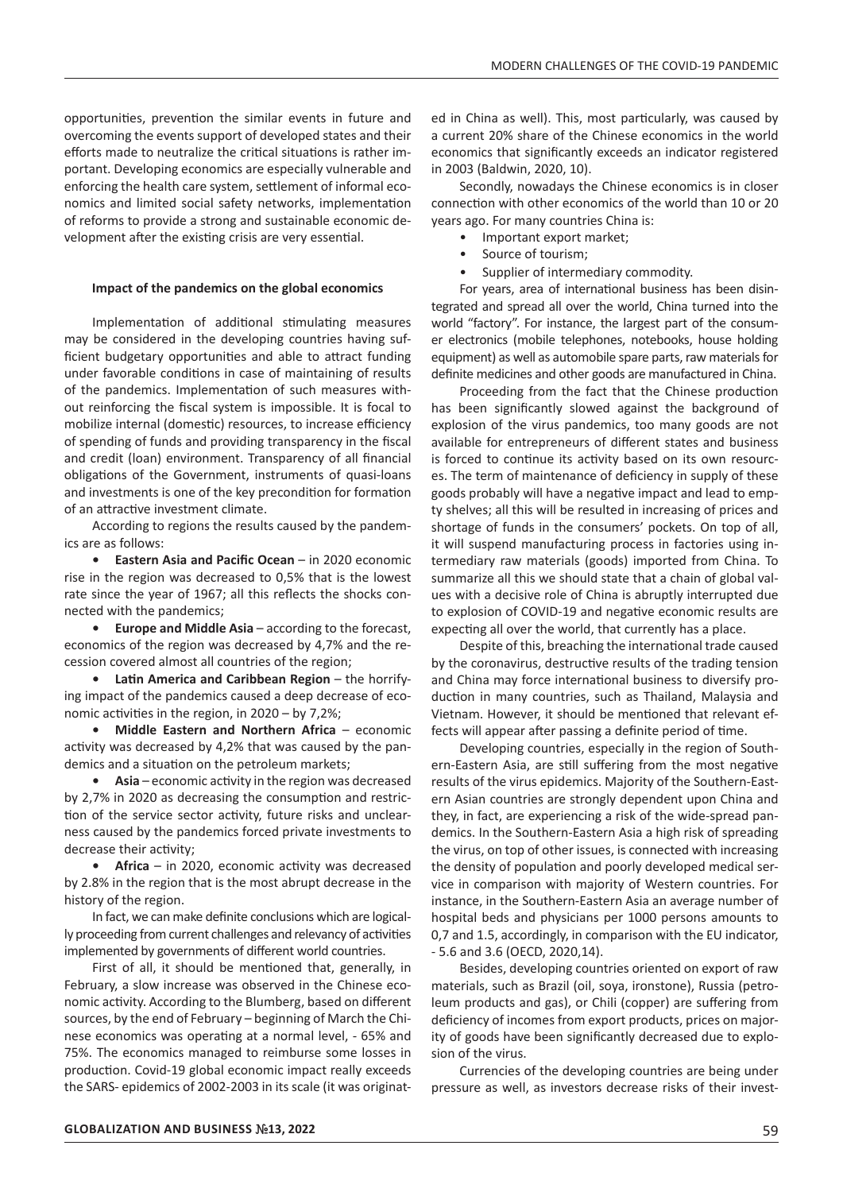opportunities, prevention the similar events in future and overcoming the events support of developed states and their efforts made to neutralize the critical situations is rather important. Developing economics are especially vulnerable and enforcing the health care system, settlement of informal economics and limited social safety networks, implementation of reforms to provide a strong and sustainable economic development after the existing crisis are very essential.

#### **Impact of the pandemics on the global economics**

Implementation of additional stimulating measures may be considered in the developing countries having sufficient budgetary opportunities and able to attract funding under favorable conditions in case of maintaining of results of the pandemics. Implementation of such measures without reinforcing the fiscal system is impossible. It is focal to mobilize internal (domestic) resources, to increase efficiency of spending of funds and providing transparency in the fiscal and credit (loan) environment. Transparency of all financial obligations of the Government, instruments of quasi-loans and investments is one of the key precondition for formation of an attractive investment climate.

According to regions the results caused by the pandemics are as follows:

**• Eastern Asia and Pacific Ocean** – in 2020 economic rise in the region was decreased to 0,5% that is the lowest rate since the year of 1967; all this reflects the shocks connected with the pandemics;

**• Europe and Middle Asia** – according to the forecast, economics of the region was decreased by 4,7% and the recession covered almost all countries of the region;

**• Latin America and Caribbean Region** – the horrifying impact of the pandemics caused a deep decrease of economic activities in the region, in 2020 – by 7,2%;

**• Middle Eastern and Northern Africa** – economic activity was decreased by 4,2% that was caused by the pandemics and a situation on the petroleum markets;

**• Asia** – economic activity in the region was decreased by 2,7% in 2020 as decreasing the consumption and restriction of the service sector activity, future risks and unclearness caused by the pandemics forced private investments to decrease their activity;

**• Africa** – in 2020, economic activity was decreased by 2.8% in the region that is the most abrupt decrease in the history of the region.

In fact, we can make definite conclusions which are logically proceeding from current challenges and relevancy of activities implemented by governments of different world countries.

First of all, it should be mentioned that, generally, in February, a slow increase was observed in the Chinese economic activity. According to the Blumberg, based on different sources, by the end of February – beginning of March the Chinese economics was operating at a normal level, - 65% and 75%. The economics managed to reimburse some losses in production. Covid-19 global economic impact really exceeds the SARS- epidemics of 2002-2003 in its scale (it was originat-

ed in China as well). This, most particularly, was caused by a current 20% share of the Chinese economics in the world economics that significantly exceeds an indicator registered in 2003 (Baldwin, 2020, 10).

Secondly, nowadays the Chinese economics is in closer connection with other economics of the world than 10 or 20 years ago. For many countries China is:

- Important export market;
- Source of tourism;
- Supplier of intermediary commodity.

For years, area of international business has been disintegrated and spread all over the world, China turned into the world "factory". For instance, the largest part of the consumer electronics (mobile telephones, notebooks, house holding equipment) as well as automobile spare parts, raw materials for definite medicines and other goods are manufactured in China.

Proceeding from the fact that the Chinese production has been significantly slowed against the background of explosion of the virus pandemics, too many goods are not available for entrepreneurs of different states and business is forced to continue its activity based on its own resources. The term of maintenance of deficiency in supply of these goods probably will have a negative impact and lead to empty shelves; all this will be resulted in increasing of prices and shortage of funds in the consumers' pockets. On top of all, it will suspend manufacturing process in factories using intermediary raw materials (goods) imported from China. To summarize all this we should state that a chain of global values with a decisive role of China is abruptly interrupted due to explosion of COVID-19 and negative economic results are expecting all over the world, that currently has a place.

Despite of this, breaching the international trade caused by the coronavirus, destructive results of the trading tension and China may force international business to diversify production in many countries, such as Thailand, Malaysia and Vietnam. However, it should be mentioned that relevant effects will appear after passing a definite period of time.

Developing countries, especially in the region of Southern-Eastern Asia, are still suffering from the most negative results of the virus epidemics. Majority of the Southern-Eastern Asian countries are strongly dependent upon China and they, in fact, are experiencing a risk of the wide-spread pandemics. In the Southern-Eastern Asia a high risk of spreading the virus, on top of other issues, is connected with increasing the density of population and poorly developed medical service in comparison with majority of Western countries. For instance, in the Southern-Eastern Asia an average number of hospital beds and physicians per 1000 persons amounts to 0,7 and 1.5, accordingly, in comparison with the EU indicator, - 5.6 and 3.6 (OECD, 2020,14).

Besides, developing countries oriented on export of raw materials, such as Brazil (oil, soya, ironstone), Russia (petroleum products and gas), or Chili (copper) are suffering from deficiency of incomes from export products, prices on majority of goods have been significantly decreased due to explosion of the virus.

Currencies of the developing countries are being under pressure as well, as investors decrease risks of their invest-